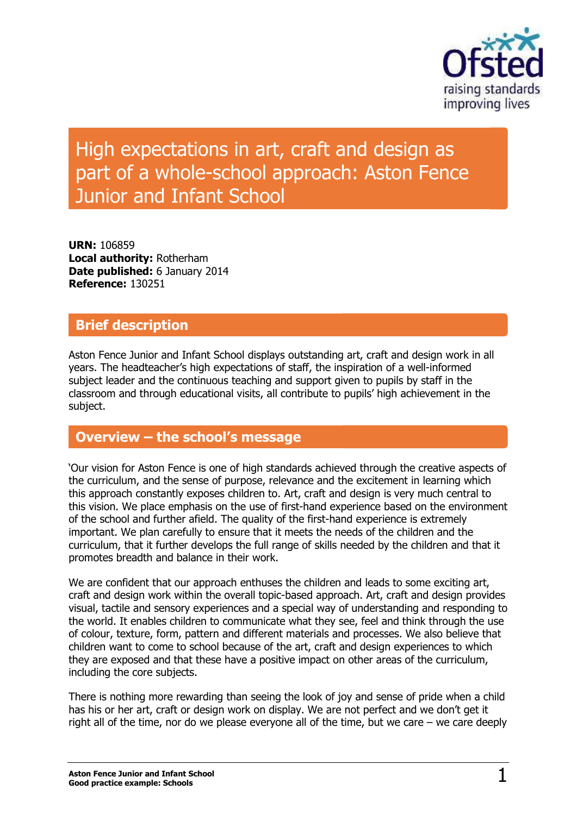

# High expectations in art, craft and design as part of a whole-school approach: Aston Fence Junior and Infant School

**URN:** 106859 **Local authority:** Rotherham **Date published:** 6 January 2014 **Reference:** 130251

### **Brief description**

Aston Fence Junior and Infant School displays outstanding art, craft and design work in all years. The headteacher's high expectations of staff, the inspiration of a well-informed subject leader and the continuous teaching and support given to pupils by staff in the classroom and through educational visits, all contribute to pupils' high achievement in the subject.

### **Overview – the school's message**

'Our vision for Aston Fence is one of high standards achieved through the creative aspects of the curriculum, and the sense of purpose, relevance and the excitement in learning which this approach constantly exposes children to. Art, craft and design is very much central to this vision. We place emphasis on the use of first-hand experience based on the environment of the school and further afield. The quality of the first-hand experience is extremely important. We plan carefully to ensure that it meets the needs of the children and the curriculum, that it further develops the full range of skills needed by the children and that it promotes breadth and balance in their work.

We are confident that our approach enthuses the children and leads to some exciting art, craft and design work within the overall topic-based approach. Art, craft and design provides visual, tactile and sensory experiences and a special way of understanding and responding to the world. It enables children to communicate what they see, feel and think through the use of colour, texture, form, pattern and different materials and processes. We also believe that children want to come to school because of the art, craft and design experiences to which they are exposed and that these have a positive impact on other areas of the curriculum, including the core subjects.

There is nothing more rewarding than seeing the look of joy and sense of pride when a child has his or her art, craft or design work on display. We are not perfect and we don't get it right all of the time, nor do we please everyone all of the time, but we care – we care deeply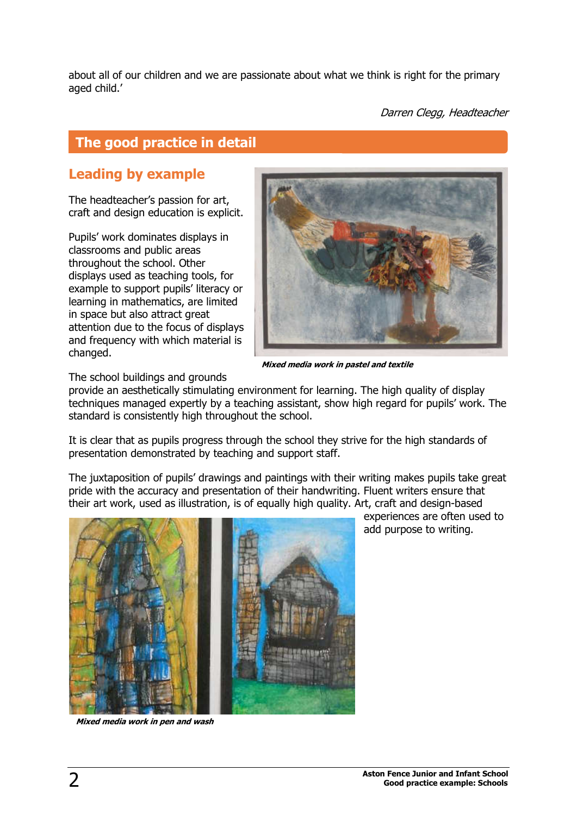about all of our children and we are passionate about what we think is right for the primary aged child.'

Darren Clegg, Headteacher

# **The good practice in detail**

# **Leading by example**

The headteacher's passion for art, craft and design education is explicit.

Pupils' work dominates displays in classrooms and public areas throughout the school. Other displays used as teaching tools, for example to support pupils' literacy or learning in mathematics, are limited in space but also attract great attention due to the focus of displays and frequency with which material is changed.



**Mixed media work in pastel and textile**

The school buildings and grounds

provide an aesthetically stimulating environment for learning. The high quality of display techniques managed expertly by a teaching assistant, show high regard for pupils' work. The standard is consistently high throughout the school.

It is clear that as pupils progress through the school they strive for the high standards of presentation demonstrated by teaching and support staff.

The juxtaposition of pupils' drawings and paintings with their writing makes pupils take great pride with the accuracy and presentation of their handwriting. Fluent writers ensure that their art work, used as illustration, is of equally high quality. Art, craft and design-based



**Mixed media work in pen and wash**

experiences are often used to add purpose to writing.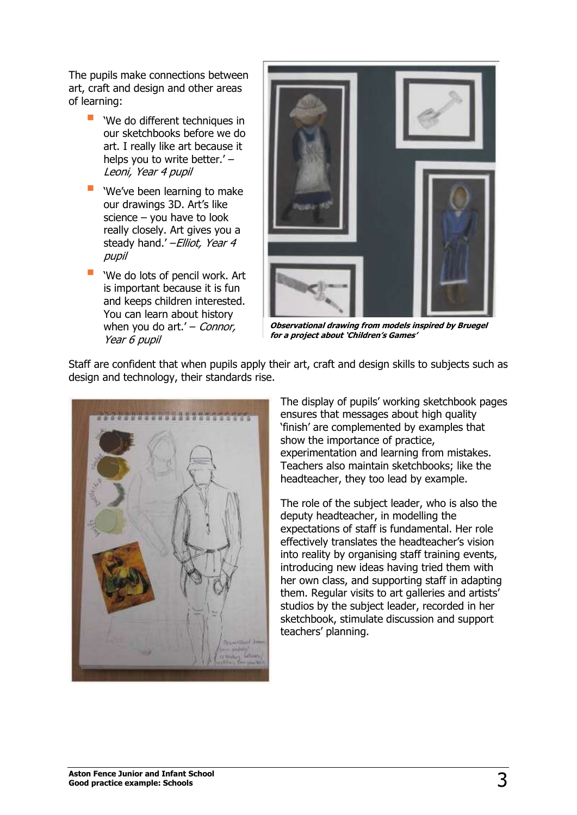The pupils make connections between art, craft and design and other areas of learning:

- 'We do different techniques in our sketchbooks before we do art. I really like art because it helps you to write better.' – Leoni, Year 4 pupil
- **"** 'We've been learning to make our drawings 3D. Art's like science – you have to look really closely. Art gives you a steady hand.' - Elliot, Year 4 pupil
- 'We do lots of pencil work. Art is important because it is fun and keeps children interested. You can learn about history when you do  $art.' -$  Connor, Year 6 pupil



**Observational drawing from models inspired by Bruegel for a project about 'Children's Games'**

Staff are confident that when pupils apply their art, craft and design skills to subjects such as design and technology, their standards rise.



The display of pupils' working sketchbook pages ensures that messages about high quality 'finish' are complemented by examples that show the importance of practice, experimentation and learning from mistakes. Teachers also maintain sketchbooks; like the headteacher, they too lead by example.

The role of the subject leader, who is also the deputy headteacher, in modelling the expectations of staff is fundamental. Her role effectively translates the headteacher's vision into reality by organising staff training events, introducing new ideas having tried them with her own class, and supporting staff in adapting them. Regular visits to art galleries and artists' studios by the subject leader, recorded in her sketchbook, stimulate discussion and support teachers' planning.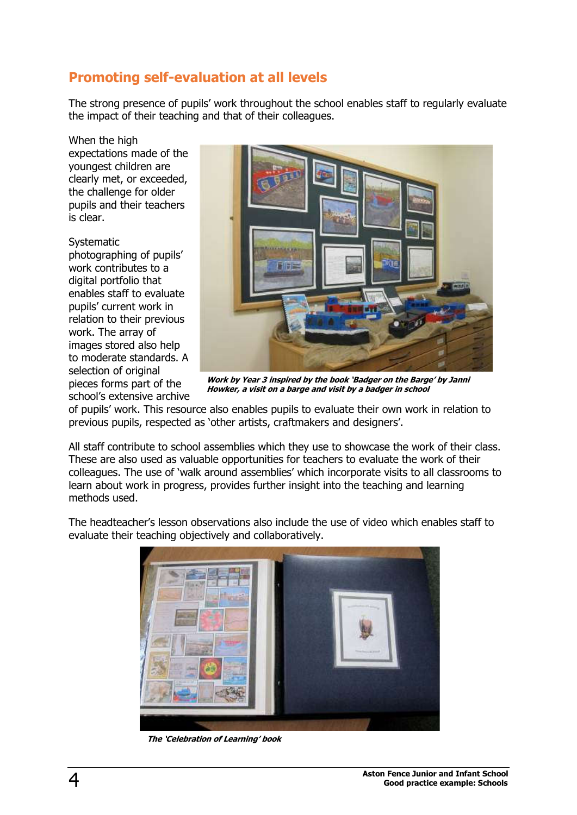# **Promoting self-evaluation at all levels**

The strong presence of pupils' work throughout the school enables staff to regularly evaluate the impact of their teaching and that of their colleagues.

When the high expectations made of the youngest children are clearly met, or exceeded, the challenge for older pupils and their teachers is clear.

Systematic photographing of pupils' work contributes to a digital portfolio that enables staff to evaluate pupils' current work in relation to their previous work. The array of images stored also help to moderate standards. A selection of original pieces forms part of the school's extensive archive



**Work by Year 3 inspired by the book 'Badger on the Barge' by Janni Howker, a visit on a barge and visit by a badger in school**

of pupils' work. This resource also enables pupils to evaluate their own work in relation to previous pupils, respected as 'other artists, craftmakers and designers'.

All staff contribute to school assemblies which they use to showcase the work of their class. These are also used as valuable opportunities for teachers to evaluate the work of their colleagues. The use of 'walk around assemblies' which incorporate visits to all classrooms to learn about work in progress, provides further insight into the teaching and learning methods used.

The headteacher's lesson observations also include the use of video which enables staff to evaluate their teaching objectively and collaboratively.



**The 'Celebration of Learning' book**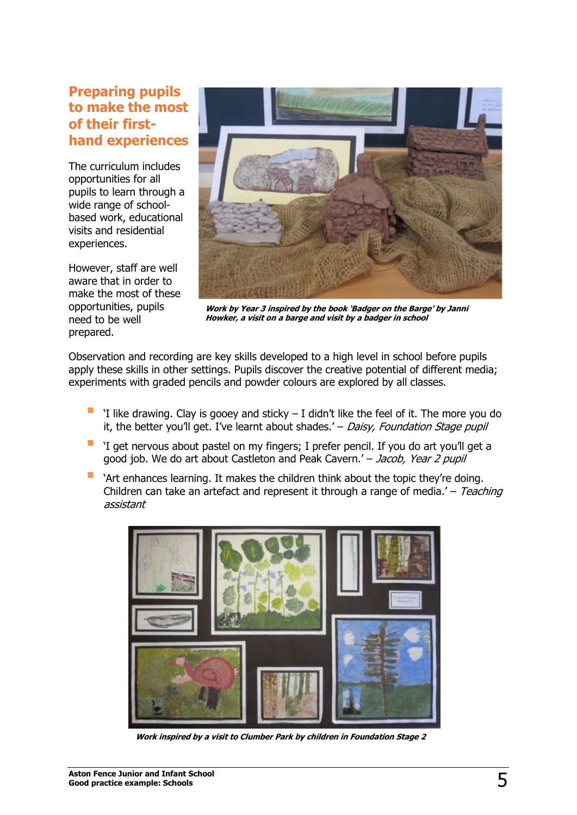#### **Preparing pupils to make the most of their firsthand experiences**

The curriculum includes opportunities for all pupils to learn through a wide range of schoolbased work, educational visits and residential experiences.

However, staff are well aware that in order to make the most of these opportunities, pupils need to be well prepared.



**Work by Year 3 inspired by the book 'Badger on the Barge' by Janni Howker, a visit on a barge and visit by a badger in school**

Observation and recording are key skills developed to a high level in school before pupils apply these skills in other settings. Pupils discover the creative potential of different media; experiments with graded pencils and powder colours are explored by all classes.

- 'I like drawing. Clay is gooey and sticky I didn't like the feel of it. The more you do it, the better you'll get. I've learnt about shades.'  $-$  Daisy, Foundation Stage pupil
- 'I get nervous about pastel on my fingers; I prefer pencil. If you do art you'll get a good job. We do art about Castleton and Peak Cavern.' - Jacob, Year 2 pupil
- 'Art enhances learning. It makes the children think about the topic they're doing. Children can take an artefact and represent it through a range of media.'  $-$  Teaching assistant



**Work inspired by a visit to Clumber Park by children in Foundation Stage 2**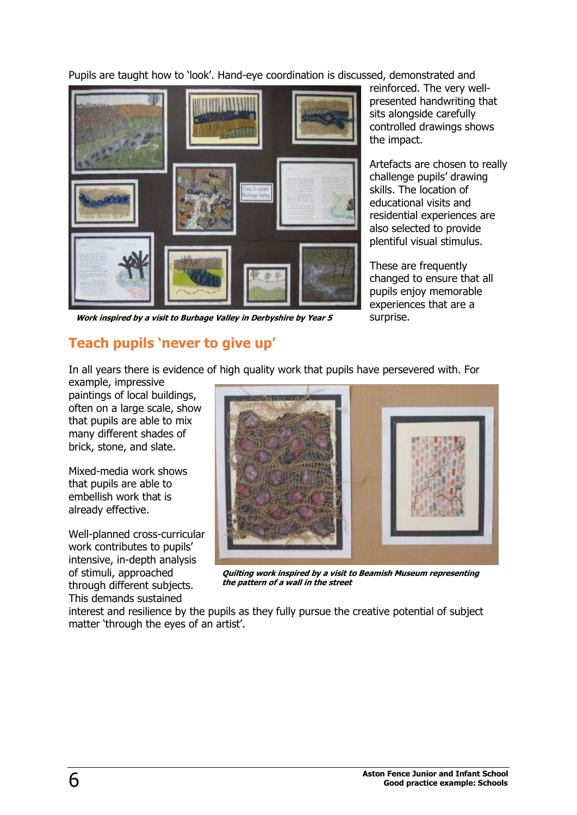Pupils are taught how to 'look'. Hand-eye coordination is discussed, demonstrated and



**Work inspired by a visit to Burbage Valley in Derbyshire by Year 5**

reinforced. The very wellpresented handwriting that sits alongside carefully controlled drawings shows the impact.

Artefacts are chosen to really challenge pupils' drawing skills. The location of educational visits and residential experiences are also selected to provide plentiful visual stimulus.

These are frequently changed to ensure that all pupils enjoy memorable experiences that are a surprise.

#### **Teach pupils 'never to give up'**

In all years there is evidence of high quality work that pupils have persevered with. For

example, impressive paintings of local buildings, often on a large scale, show that pupils are able to mix many different shades of brick, stone, and slate.

Mixed-media work shows that pupils are able to embellish work that is already effective.

Well-planned cross-curricular work contributes to pupils' intensive, in-depth analysis of stimuli, approached through different subjects. This demands sustained



**Quilting work inspired by a visit to Beamish Museum representing the pattern of a wall in the street**

interest and resilience by the pupils as they fully pursue the creative potential of subject matter 'through the eyes of an artist'.